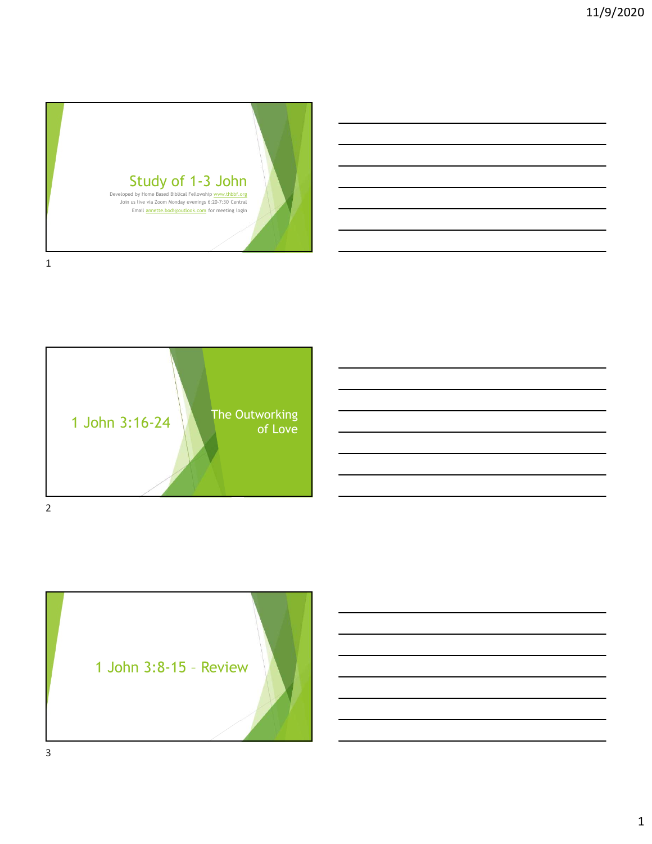





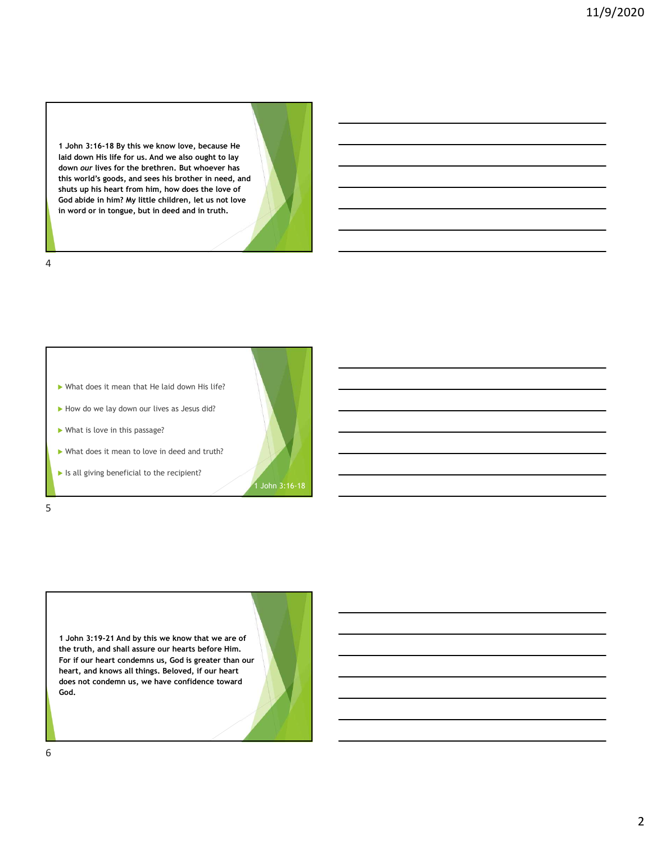1 John 3:16-18 By this we know love, because He laid down His life for us. And we also ought to lay 1 John 3:16-18 By this we know love, because He<br>laid down its life for us. And we also ought to lay<br>down our lives for the brethren. But who ever has<br>this world's goods, and sees his brother in need, and<br>fous abile in him? this world's goods, and sees his brother in need, and shuts up his heart from him, how does the love of God abide in him? My little children, let us not love in word or in tongue, but in deed and in truth.

4



1 John 3:19-21 And by this we know that we are of For if our heart condemns us, God is greater than our heart, and knows all things. Beloved, if our heart does not condemn us, we have confidence toward God.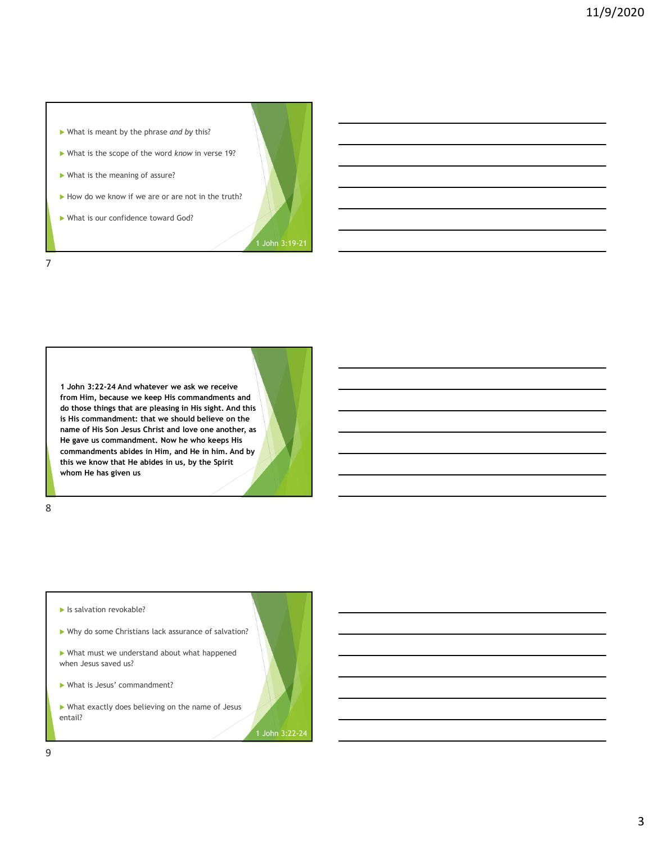

1 John 3:22-24 And whatever we ask we receive from Him, because we keep His commandments and is His commandment: that we should believe on the name of His Son Jesus Christ and love one another, as He gave us commandment. Now he who keeps His commandments abides in Him, and He in him. And by this we know that He abides in us, by the Spirit whom He has given us.

8 and 2010 and 2010 and 2010 and 2010 and 2010 and 2010 and 2010 and 2010 and 2010 and 2010 and 2010 and 2010